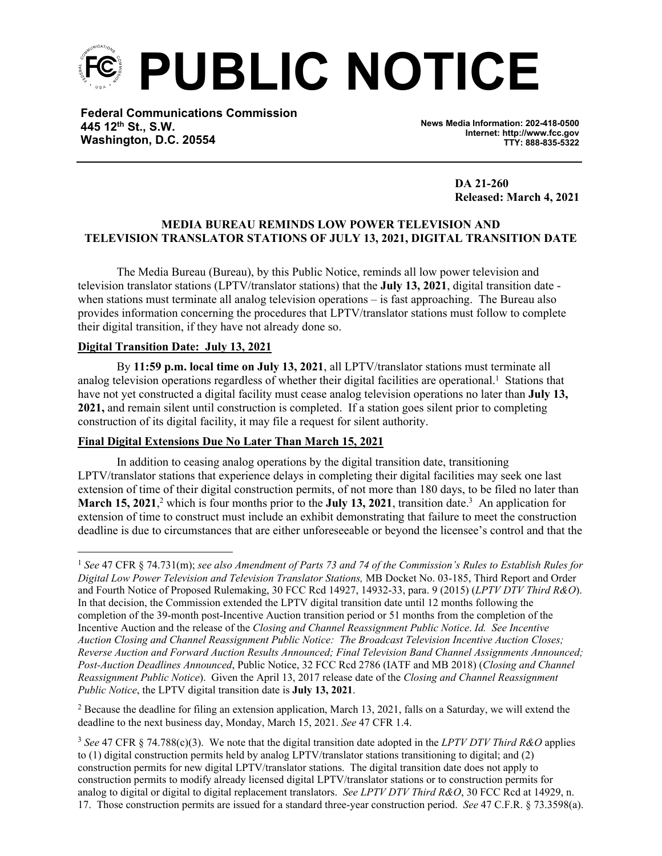

**Federal Communications Commission 445 12th St., S.W. Washington, D.C. 20554**

**News Media Information: 202-418-0500 Internet: http://www.fcc.gov TTY: 888-835-5322**

> **DA 21-260 Released: March 4, 2021**

## **MEDIA BUREAU REMINDS LOW POWER TELEVISION AND TELEVISION TRANSLATOR STATIONS OF JULY 13, 2021, DIGITAL TRANSITION DATE**

The Media Bureau (Bureau), by this Public Notice, reminds all low power television and television translator stations (LPTV/translator stations) that the **July 13, 2021**, digital transition date when stations must terminate all analog television operations – is fast approaching. The Bureau also provides information concerning the procedures that LPTV/translator stations must follow to complete their digital transition, if they have not already done so.

### **Digital Transition Date: July 13, 2021**

By **11:59 p.m. local time on July 13, 2021**, all LPTV/translator stations must terminate all analog television operations regardless of whether their digital facilities are operational.<sup>1</sup> Stations that have not yet constructed a digital facility must cease analog television operations no later than **July 13, 2021,** and remain silent until construction is completed. If a station goes silent prior to completing construction of its digital facility, it may file a request for silent authority.

#### **Final Digital Extensions Due No Later Than March 15, 2021**

In addition to ceasing analog operations by the digital transition date, transitioning LPTV/translator stations that experience delays in completing their digital facilities may seek one last extension of time of their digital construction permits, of not more than 180 days, to be filed no later than **March 15, 2021**,<sup>2</sup> which is four months prior to the **July 13, 2021**, transition date.<sup>3</sup> An application for extension of time to construct must include an exhibit demonstrating that failure to meet the construction deadline is due to circumstances that are either unforeseeable or beyond the licensee's control and that the

 $2$  Because the deadline for filing an extension application, March 13, 2021, falls on a Saturday, we will extend the deadline to the next business day, Monday, March 15, 2021. *See* 47 CFR 1.4.

<sup>1</sup> *See* 47 CFR § 74.731(m); *see also Amendment of Parts 73 and 74 of the Commission's Rules to Establish Rules for Digital Low Power Television and Television Translator Stations,* MB Docket No. 03-185, Third Report and Order and Fourth Notice of Proposed Rulemaking, 30 FCC Rcd 14927, 14932-33, para. 9 (2015) (*LPTV DTV Third R&O*). In that decision, the Commission extended the LPTV digital transition date until 12 months following the completion of the 39-month post-Incentive Auction transition period or 51 months from the completion of the Incentive Auction and the release of the *Closing and Channel Reassignment Public Notice*. *Id. See Incentive Auction Closing and Channel Reassignment Public Notice: The Broadcast Television Incentive Auction Closes; Reverse Auction and Forward Auction Results Announced; Final Television Band Channel Assignments Announced; Post-Auction Deadlines Announced*, Public Notice, 32 FCC Rcd 2786 (IATF and MB 2018) (*Closing and Channel Reassignment Public Notice*). Given the April 13, 2017 release date of the *Closing and Channel Reassignment Public Notice*, the LPTV digital transition date is **July 13, 2021**.

<sup>3</sup> *See* 47 CFR § 74.788(c)(3). We note that the digital transition date adopted in the *LPTV DTV Third R&O* applies to (1) digital construction permits held by analog LPTV/translator stations transitioning to digital; and (2) construction permits for new digital LPTV/translator stations. The digital transition date does not apply to construction permits to modify already licensed digital LPTV/translator stations or to construction permits for analog to digital or digital to digital replacement translators. *See LPTV DTV Third R&O*, 30 FCC Rcd at 14929, n. 17. Those construction permits are issued for a standard three-year construction period. *See* 47 C.F.R. § 73.3598(a).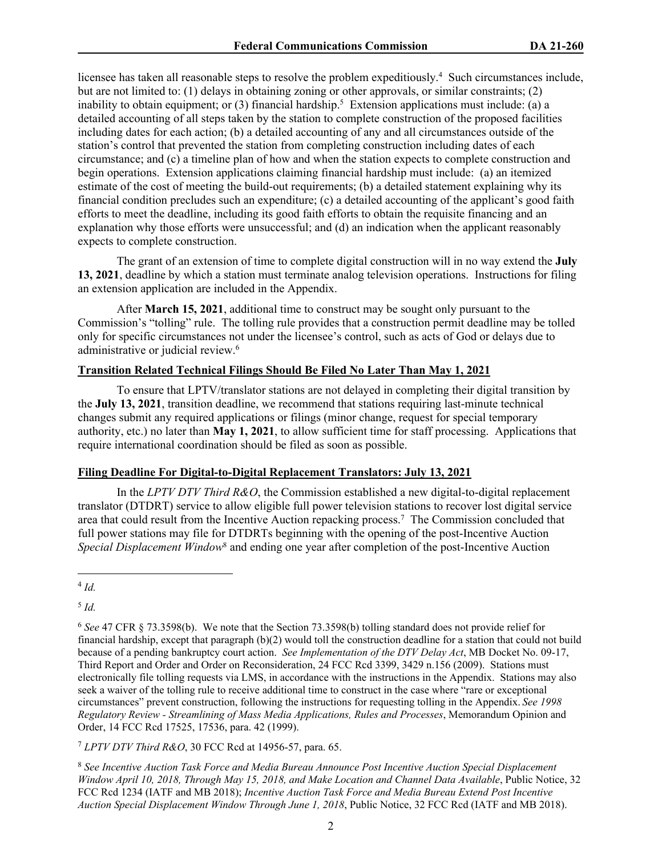licensee has taken all reasonable steps to resolve the problem expeditiously.<sup>4</sup> Such circumstances include, but are not limited to: (1) delays in obtaining zoning or other approvals, or similar constraints; (2) inability to obtain equipment; or  $(3)$  financial hardship.<sup>5</sup> Extension applications must include: (a) a detailed accounting of all steps taken by the station to complete construction of the proposed facilities including dates for each action; (b) a detailed accounting of any and all circumstances outside of the station's control that prevented the station from completing construction including dates of each circumstance; and (c) a timeline plan of how and when the station expects to complete construction and begin operations. Extension applications claiming financial hardship must include: (a) an itemized estimate of the cost of meeting the build-out requirements; (b) a detailed statement explaining why its financial condition precludes such an expenditure; (c) a detailed accounting of the applicant's good faith efforts to meet the deadline, including its good faith efforts to obtain the requisite financing and an explanation why those efforts were unsuccessful; and (d) an indication when the applicant reasonably expects to complete construction.

The grant of an extension of time to complete digital construction will in no way extend the **July 13, 2021**, deadline by which a station must terminate analog television operations. Instructions for filing an extension application are included in the Appendix.

After **March 15, 2021**, additional time to construct may be sought only pursuant to the Commission's "tolling" rule. The tolling rule provides that a construction permit deadline may be tolled only for specific circumstances not under the licensee's control, such as acts of God or delays due to administrative or judicial review.<sup>6</sup>

## **Transition Related Technical Filings Should Be Filed No Later Than May 1, 2021**

To ensure that LPTV/translator stations are not delayed in completing their digital transition by the **July 13, 2021**, transition deadline, we recommend that stations requiring last-minute technical changes submit any required applications or filings (minor change, request for special temporary authority, etc.) no later than **May 1, 2021**, to allow sufficient time for staff processing. Applications that require international coordination should be filed as soon as possible.

### **Filing Deadline For Digital-to-Digital Replacement Translators: July 13, 2021**

In the *LPTV DTV Third R&O*, the Commission established a new digital-to-digital replacement translator (DTDRT) service to allow eligible full power television stations to recover lost digital service area that could result from the Incentive Auction repacking process.<sup>7</sup> The Commission concluded that full power stations may file for DTDRTs beginning with the opening of the post-Incentive Auction Special Displacement Window<sup>8</sup> and ending one year after completion of the post-Incentive Auction

5 *Id.*

<sup>7</sup> *LPTV DTV Third R&O*, 30 FCC Rcd at 14956-57, para. 65.

<sup>8</sup> *See Incentive Auction Task Force and Media Bureau Announce Post Incentive Auction Special Displacement Window April 10, 2018, Through May 15, 2018, and Make Location and Channel Data Available*, Public Notice, 32 FCC Rcd 1234 (IATF and MB 2018); *Incentive Auction Task Force and Media Bureau Extend Post Incentive Auction Special Displacement Window Through June 1, 2018*, Public Notice, 32 FCC Rcd (IATF and MB 2018).

<sup>4</sup> *Id.*

<sup>6</sup> *See* 47 CFR § 73.3598(b).We note that the Section 73.3598(b) tolling standard does not provide relief for financial hardship, except that paragraph (b)(2) would toll the construction deadline for a station that could not build because of a pending bankruptcy court action. *See Implementation of the DTV Delay Act*, MB Docket No. 09-17, Third Report and Order and Order on Reconsideration, 24 FCC Rcd 3399, 3429 n.156 (2009). Stations must electronically file tolling requests via LMS, in accordance with the instructions in the Appendix. Stations may also seek a waiver of the tolling rule to receive additional time to construct in the case where "rare or exceptional circumstances" prevent construction, following the instructions for requesting tolling in the Appendix. *See 1998 Regulatory Review - Streamlining of Mass Media Applications, Rules and Processes*, Memorandum Opinion and Order, 14 FCC Rcd 17525, 17536, para. 42 (1999).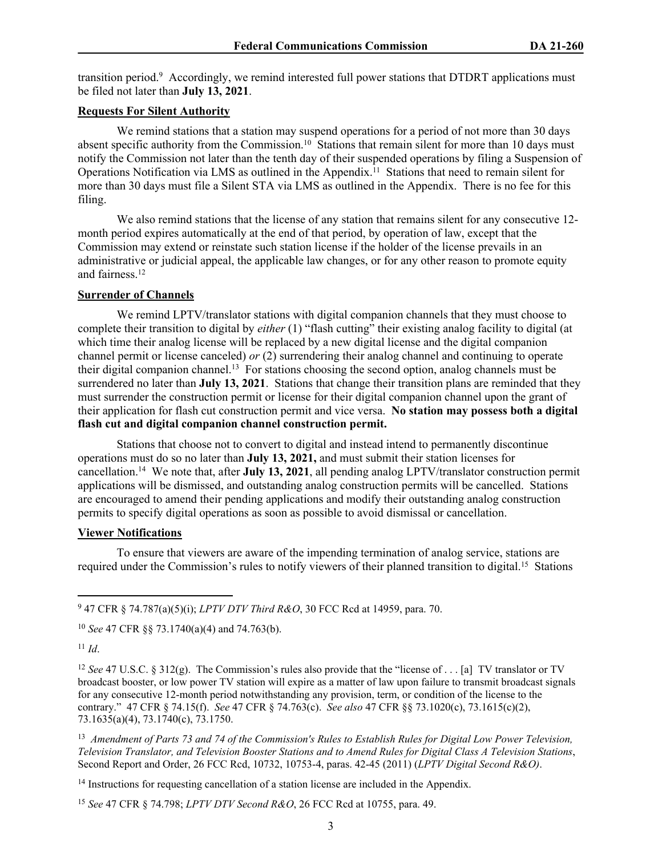transition period.<sup>9</sup> Accordingly, we remind interested full power stations that DTDRT applications must be filed not later than **July 13, 2021**.

### **Requests For Silent Authority**

We remind stations that a station may suspend operations for a period of not more than 30 days absent specific authority from the Commission.<sup>10</sup> Stations that remain silent for more than 10 days must notify the Commission not later than the tenth day of their suspended operations by filing a Suspension of Operations Notification via LMS as outlined in the Appendix.<sup>11</sup> Stations that need to remain silent for more than 30 days must file a Silent STA via LMS as outlined in the Appendix. There is no fee for this filing.

We also remind stations that the license of any station that remains silent for any consecutive 12 month period expires automatically at the end of that period, by operation of law, except that the Commission may extend or reinstate such station license if the holder of the license prevails in an administrative or judicial appeal, the applicable law changes, or for any other reason to promote equity and fairness.<sup>12</sup>

#### **Surrender of Channels**

We remind LPTV/translator stations with digital companion channels that they must choose to complete their transition to digital by *either* (1) "flash cutting" their existing analog facility to digital (at which time their analog license will be replaced by a new digital license and the digital companion channel permit or license canceled) *or* (2) surrendering their analog channel and continuing to operate their digital companion channel.<sup>13</sup> For stations choosing the second option, analog channels must be surrendered no later than **July 13, 2021**. Stations that change their transition plans are reminded that they must surrender the construction permit or license for their digital companion channel upon the grant of their application for flash cut construction permit and vice versa. **No station may possess both a digital flash cut and digital companion channel construction permit.**

Stations that choose not to convert to digital and instead intend to permanently discontinue operations must do so no later than **July 13, 2021,** and must submit their station licenses for cancellation.<sup>14</sup> We note that, after **July 13, 2021**, all pending analog LPTV/translator construction permit applications will be dismissed, and outstanding analog construction permits will be cancelled. Stations are encouraged to amend their pending applications and modify their outstanding analog construction permits to specify digital operations as soon as possible to avoid dismissal or cancellation.

### **Viewer Notifications**

To ensure that viewers are aware of the impending termination of analog service, stations are required under the Commission's rules to notify viewers of their planned transition to digital.<sup>15</sup> Stations

9 47 CFR § 74.787(a)(5)(i); *LPTV DTV Third R&O*, 30 FCC Rcd at 14959, para. 70.

<sup>10</sup> *See* 47 CFR §§ 73.1740(a)(4) and 74.763(b).

<sup>11</sup> *Id*.

<sup>12</sup> *See* 47 U.S.C. § 312(g). The Commission's rules also provide that the "license of . . . [a] TV translator or TV broadcast booster, or low power TV station will expire as a matter of law upon failure to transmit broadcast signals for any consecutive 12-month period notwithstanding any provision, term, or condition of the license to the contrary." 47 CFR § 74.15(f). *See* 47 CFR § 74.763(c). *See also* 47 CFR §§ 73.1020(c), 73.1615(c)(2), 73.1635(a)(4), 73.1740(c), 73.1750.

<sup>13</sup> Amendment of Parts 73 and 74 of the Commission's Rules to Establish Rules for Digital Low Power Television, *Television Translator, and Television Booster Stations and to Amend Rules for Digital Class A Television Stations*, Second Report and Order, 26 FCC Rcd, 10732, 10753-4, paras. 42-45 (2011) (*LPTV Digital Second R&O)*.

<sup>14</sup> Instructions for requesting cancellation of a station license are included in the Appendix.

<sup>15</sup> *See* 47 CFR § 74.798; *LPTV DTV Second R&O*, 26 FCC Rcd at 10755, para. 49.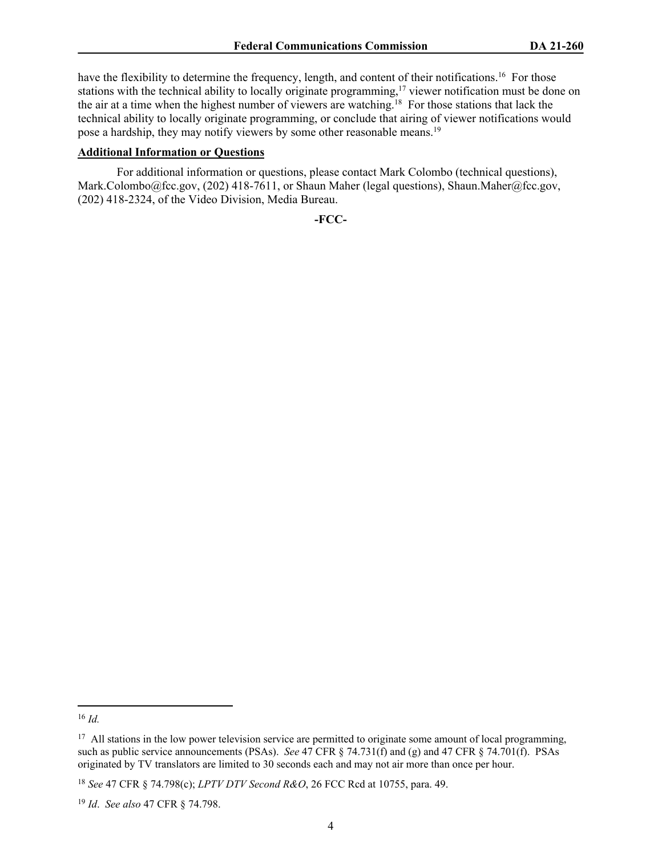have the flexibility to determine the frequency, length, and content of their notifications.<sup>16</sup> For those stations with the technical ability to locally originate programming,<sup>17</sup> viewer notification must be done on the air at a time when the highest number of viewers are watching.<sup>18</sup> For those stations that lack the technical ability to locally originate programming, or conclude that airing of viewer notifications would pose a hardship, they may notify viewers by some other reasonable means.<sup>19</sup>

### **Additional Information or Questions**

For additional information or questions, please contact Mark Colombo (technical questions), Mark.Colombo@fcc.gov, (202) 418-7611, or Shaun Maher (legal questions), Shaun.Maher@fcc.gov, (202) 418-2324, of the Video Division, Media Bureau.

**-FCC-**

<sup>16</sup> *Id.*

<sup>&</sup>lt;sup>17</sup> All stations in the low power television service are permitted to originate some amount of local programming, such as public service announcements (PSAs). *See* 47 CFR § 74.731(f) and (g) and 47 CFR § 74.701(f). PSAs originated by TV translators are limited to 30 seconds each and may not air more than once per hour.

<sup>18</sup> *See* 47 CFR § 74.798(c); *LPTV DTV Second R&O*, 26 FCC Rcd at 10755, para. 49.

<sup>19</sup> *Id*. *See also* 47 CFR § 74.798.